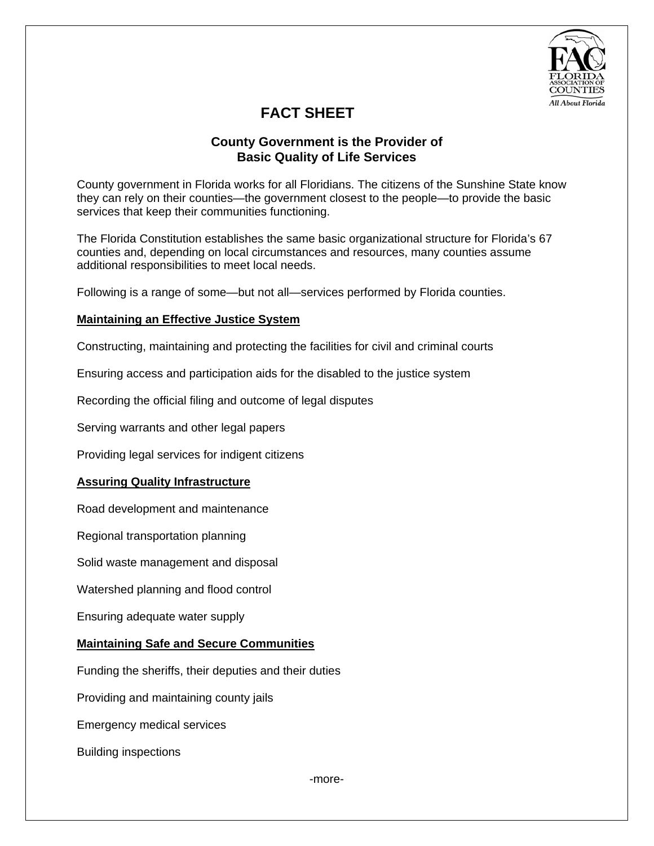

# **FACT SHEET**

## **County Government is the Provider of Basic Quality of Life Services**

County government in Florida works for all Floridians. The citizens of the Sunshine State know they can rely on their counties—the government closest to the people—to provide the basic services that keep their communities functioning.

The Florida Constitution establishes the same basic organizational structure for Florida's 67 counties and, depending on local circumstances and resources, many counties assume additional responsibilities to meet local needs.

Following is a range of some—but not all—services performed by Florida counties.

### **Maintaining an Effective Justice System**

Constructing, maintaining and protecting the facilities for civil and criminal courts

Ensuring access and participation aids for the disabled to the justice system

Recording the official filing and outcome of legal disputes

Serving warrants and other legal papers

Providing legal services for indigent citizens

## **Assuring Quality Infrastructure**

Road development and maintenance

Regional transportation planning

Solid waste management and disposal

Watershed planning and flood control

Ensuring adequate water supply

### **Maintaining Safe and Secure Communities**

Funding the sheriffs, their deputies and their duties

Providing and maintaining county jails

Emergency medical services

Building inspections

-more-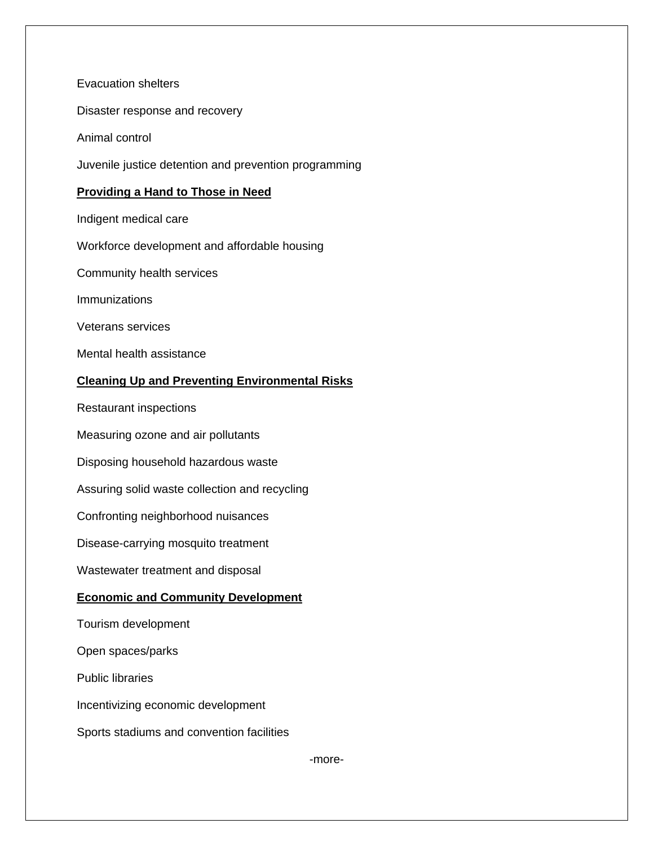Evacuation shelters

Disaster response and recovery

Animal control

Juvenile justice detention and prevention programming

#### **Providing a Hand to Those in Need**

Indigent medical care

Workforce development and affordable housing

Community health services

Immunizations

Veterans services

Mental health assistance

## **Cleaning Up and Preventing Environmental Risks**

Restaurant inspections

Measuring ozone and air pollutants

Disposing household hazardous waste

Assuring solid waste collection and recycling

Confronting neighborhood nuisances

Disease-carrying mosquito treatment

Wastewater treatment and disposal

#### **Economic and Community Development**

Tourism development

Open spaces/parks

Public libraries

Incentivizing economic development

Sports stadiums and convention facilities

-more-